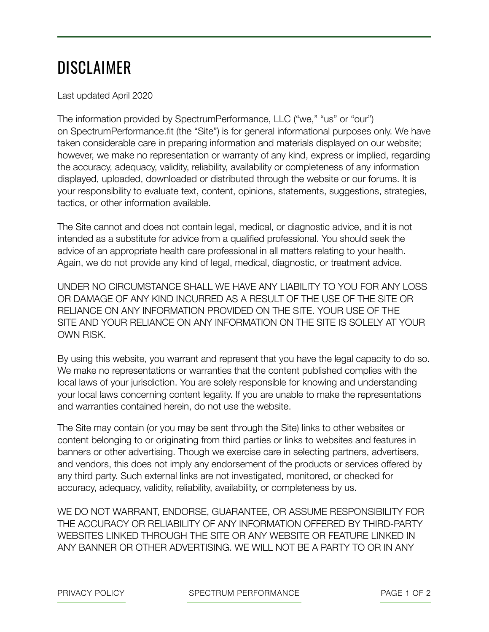## DISCLAIMER

Last updated April 2020

The information provided by SpectrumPerformance, LLC ("we," "us" or "our") on SpectrumPerformance.fit (the "Site") is for general informational purposes only. We have taken considerable care in preparing information and materials displayed on our website; however, we make no representation or warranty of any kind, express or implied, regarding the accuracy, adequacy, validity, reliability, availability or completeness of any information displayed, uploaded, downloaded or distributed through the website or our forums. It is your responsibility to evaluate text, content, opinions, statements, suggestions, strategies, tactics, or other information available.

The Site cannot and does not contain legal, medical, or diagnostic advice, and it is not intended as a substitute for advice from a qualified professional. You should seek the advice of an appropriate health care professional in all matters relating to your health. Again, we do not provide any kind of legal, medical, diagnostic, or treatment advice.

UNDER NO CIRCUMSTANCE SHALL WE HAVE ANY LIABILITY TO YOU FOR ANY LOSS OR DAMAGE OF ANY KIND INCURRED AS A RESULT OF THE USE OF THE SITE OR RELIANCE ON ANY INFORMATION PROVIDED ON THE SITE. YOUR USE OF THE SITE AND YOUR RELIANCE ON ANY INFORMATION ON THE SITE IS SOLELY AT YOUR OWN RISK.

By using this website, you warrant and represent that you have the legal capacity to do so. We make no representations or warranties that the content published complies with the local laws of your jurisdiction. You are solely responsible for knowing and understanding your local laws concerning content legality. If you are unable to make the representations and warranties contained herein, do not use the website.

The Site may contain (or you may be sent through the Site) links to other websites or content belonging to or originating from third parties or links to websites and features in banners or other advertising. Though we exercise care in selecting partners, advertisers, and vendors, this does not imply any endorsement of the products or services offered by any third party. Such external links are not investigated, monitored, or checked for accuracy, adequacy, validity, reliability, availability, or completeness by us.

WE DO NOT WARRANT, ENDORSE, GUARANTEE, OR ASSUME RESPONSIBILITY FOR THE ACCURACY OR RELIABILITY OF ANY INFORMATION OFFERED BY THIRD-PARTY WEBSITES LINKED THROUGH THE SITE OR ANY WEBSITE OR FEATURE LINKED IN ANY BANNER OR OTHER ADVERTISING. WE WILL NOT BE A PARTY TO OR IN ANY